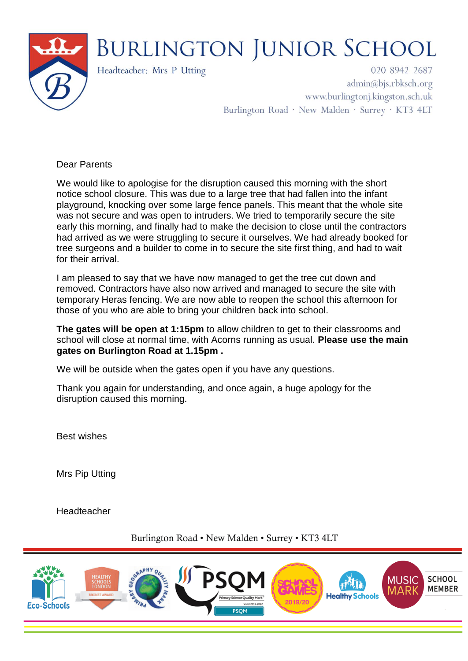

## **BURLINGTON JUNIOR SCHOOL**

Headteacher: Mrs P Utting

020 8942 2687  $\text{admin}(a)$ bjs.rbksch.org www.burlingtonj.kingston.sch.uk Burlington Road · New Malden · Surrey · KT3 4LT

Dear Parents

We would like to apologise for the disruption caused this morning with the short notice school closure. This was due to a large tree that had fallen into the infant playground, knocking over some large fence panels. This meant that the whole site was not secure and was open to intruders. We tried to temporarily secure the site early this morning, and finally had to make the decision to close until the contractors had arrived as we were struggling to secure it ourselves. We had already booked for tree surgeons and a builder to come in to secure the site first thing, and had to wait for their arrival.

I am pleased to say that we have now managed to get the tree cut down and removed. Contractors have also now arrived and managed to secure the site with temporary Heras fencing. We are now able to reopen the school this afternoon for those of you who are able to bring your children back into school.

**The gates will be open at 1:15pm** to allow children to get to their classrooms and school will close at normal time, with Acorns running as usual. **Please use the main gates on Burlington Road at 1.15pm .**

We will be outside when the gates open if you have any questions.

Thank you again for understanding, and once again, a huge apology for the disruption caused this morning.

Best wishes

Mrs Pip Utting

Headteacher

Burlington Road . New Malden . Surrey . KT3 4LT